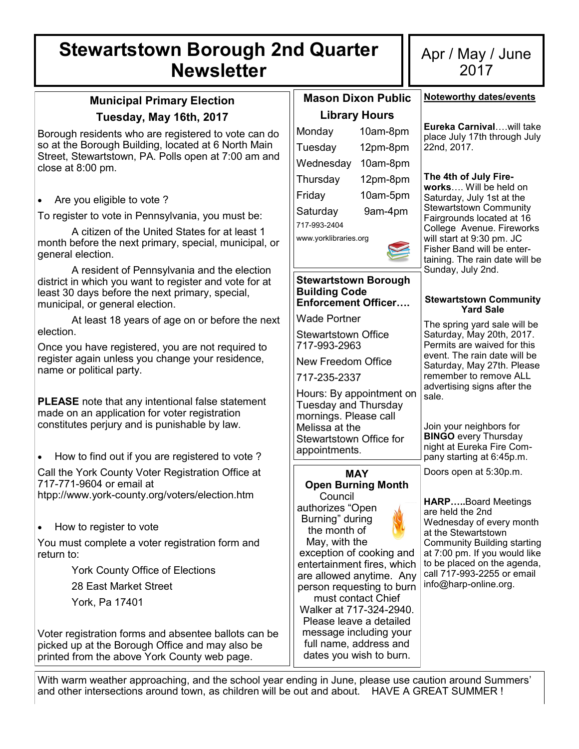# **Stewartstown Borough 2nd Quarter Newsletter**

### **Municipal Primary Election Tuesday, May 16th, 2017**

Borough residents who are registered to vote can do so at the Borough Building, located at 6 North Main Street, Stewartstown, PA. Polls open at 7:00 am and close at 8:00 pm.

• Are you eligible to vote ?

To register to vote in Pennsylvania, you must be:

A citizen of the United States for at least 1 month before the next primary, special, municipal, or general election.

A resident of Pennsylvania and the election district in which you want to register and vote for at least 30 days before the next primary, special, municipal, or general election.

At least 18 years of age on or before the next election.

Once you have registered, you are not required to register again unless you change your residence, name or political party.

**PLEASE** note that any intentional false statement made on an application for voter registration constitutes perjury and is punishable by law.

• How to find out if you are registered to vote ? Call the York County Voter Registration Office at 717-771-9604 or email at htpp://www.york-county.org/voters/election.htm

• How to register to vote

You must complete a voter registration form and return to:

York County Office of Elections

28 East Market Street

York, Pa 17401

Voter registration forms and absentee ballots can be picked up at the Borough Office and may also be printed from the above York County web page.

| <b>Mason Dixon Public</b> |          |  |  |  |
|---------------------------|----------|--|--|--|
| <b>Library Hours</b>      |          |  |  |  |
| Monday                    | 10am-8pm |  |  |  |
| Tuesday                   | 12pm-8pm |  |  |  |
| Wednesday                 | 10am-8pm |  |  |  |
| Thursday                  | 12pm-8pm |  |  |  |
| Friday                    | 10am-5pm |  |  |  |
| Saturday                  | 9am-4pm  |  |  |  |
| 717-993-2404              |          |  |  |  |
| www.yorklibraries.org     |          |  |  |  |



### **Stewartstown Borough Building Code Enforcement Officer….**

Wade Portner

Stewartstown Office 717-993-2963

New Freedom Office

717-235-2337

Hours: By appointment on Tuesday and Thursday mornings. Please call Melissa at the Stewartstown Office for appointments.

#### **MAY Open Burning Month Council**

authorizes "Open Burning" during the month of

May, with the exception of cooking and entertainment fires, which are allowed anytime. Any person requesting to burn must contact Chief Walker at 717-324-2940. Please leave a detailed message including your full name, address and dates you wish to burn.

### Apr / May / June 2017

**Noteworthy dates/events**

**Eureka Carnival**….will take place July 17th through July 22nd, 2017.

### **The 4th of July Fire-**

**works**…. Will be held on Saturday, July 1st at the Stewartstown Community Fairgrounds located at 16 College Avenue. Fireworks will start at 9:30 pm. JC Fisher Band will be entertaining. The rain date will be Sunday, July 2nd.

### **Stewartstown Community Yard Sale**

The spring yard sale will be Saturday, May 20th, 2017. Permits are waived for this event. The rain date will be Saturday, May 27th. Please remember to remove ALL advertising signs after the sale.

Join your neighbors for **BINGO** every Thursday night at Eureka Fire Company starting at 6:45p.m.

Doors open at 5:30p.m.

**HARP…..**Board Meetings are held the 2nd Wednesday of every month at the Stewartstown Community Building starting at 7:00 pm. If you would like to be placed on the agenda, call 717-993-2255 or email info@harp-online.org.

With warm weather approaching, and the school year ending in June, please use caution around Summers' and other intersections around town, as children will be out and about. HAVE A GREAT SUMMER !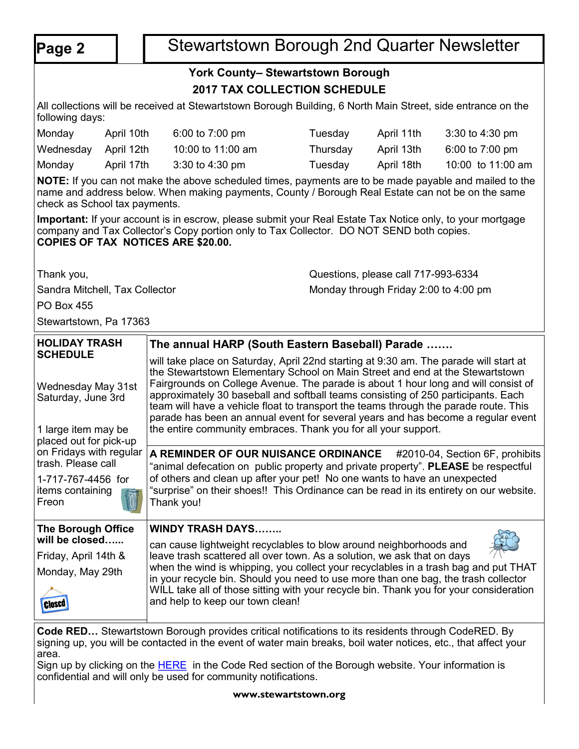## **Page 2** | Stewartstown Borough 2nd Quarter Newsletter

### **York County– Stewartstown Borough 2017 TAX COLLECTION SCHEDULE**

All collections will be received at Stewartstown Borough Building, 6 North Main Street, side entrance on the following days:

| Monday               | April 10th | 6:00 to $7:00 \text{ pm}$ | Tuesdav  | April 11th | $3:30$ to 4:30 pm |
|----------------------|------------|---------------------------|----------|------------|-------------------|
| Wednesday April 12th |            | 10:00 to 11:00 am         | Thursday | April 13th | 6:00 to 7:00 pm   |
| Monday               | April 17th | $3:30$ to 4:30 pm         | Γuesdav  | April 18th | 10:00 to 11:00 am |

**NOTE:** If you can not make the above scheduled times, payments are to be made payable and mailed to the name and address below. When making payments, County / Borough Real Estate can not be on the same check as School tax payments.

**Important:** If your account is in escrow, please submit your Real Estate Tax Notice only, to your mortgage company and Tax Collector's Copy portion only to Tax Collector. DO NOT SEND both copies. **COPIES OF TAX NOTICES ARE \$20.00.**

Thank you, Questions, please call 717-993-6334

Sandra Mitchell, Tax Collector Monday through Friday 2:00 to 4:00 pm

PO Box 455

Stewartstown, Pa 17363

| <b>HOLIDAY TRASH</b>                                                                                         | The annual HARP (South Eastern Baseball) Parade                                                                                                                                                                                                                                                                                                                                                                                                                                                                                                                                                 |  |  |  |  |
|--------------------------------------------------------------------------------------------------------------|-------------------------------------------------------------------------------------------------------------------------------------------------------------------------------------------------------------------------------------------------------------------------------------------------------------------------------------------------------------------------------------------------------------------------------------------------------------------------------------------------------------------------------------------------------------------------------------------------|--|--|--|--|
| <b>SCHEDULE</b><br>Wednesday May 31st<br>Saturday, June 3rd<br>1 large item may be<br>placed out for pick-up | will take place on Saturday, April 22nd starting at 9:30 am. The parade will start at<br>the Stewartstown Elementary School on Main Street and end at the Stewartstown<br>Fairgrounds on College Avenue. The parade is about 1 hour long and will consist of<br>approximately 30 baseball and softball teams consisting of 250 participants. Each<br>team will have a vehicle float to transport the teams through the parade route. This<br>parade has been an annual event for several years and has become a regular event<br>the entire community embraces. Thank you for all your support. |  |  |  |  |
| on Fridays with regular<br>trash. Please call                                                                | A REMINDER OF OUR NUISANCE ORDINANCE #2010-04, Section 6F, prohibits<br>"animal defecation on public property and private property". PLEASE be respectful                                                                                                                                                                                                                                                                                                                                                                                                                                       |  |  |  |  |
| 1-717-767-4456 for<br>items containing<br>Freon                                                              | of others and clean up after your pet! No one wants to have an unexpected<br>"surprise" on their shoes!! This Ordinance can be read in its entirety on our website.<br>Thank you!                                                                                                                                                                                                                                                                                                                                                                                                               |  |  |  |  |
| <b>The Borough Office</b>                                                                                    | <b>WINDY TRASH DAYS</b>                                                                                                                                                                                                                                                                                                                                                                                                                                                                                                                                                                         |  |  |  |  |
| will be closed                                                                                               | can cause lightweight recyclables to blow around neighborhoods and                                                                                                                                                                                                                                                                                                                                                                                                                                                                                                                              |  |  |  |  |
| Friday, April 14th &                                                                                         | leave trash scattered all over town. As a solution, we ask that on days                                                                                                                                                                                                                                                                                                                                                                                                                                                                                                                         |  |  |  |  |
| Monday, May 29th<br><b>Close</b>                                                                             | when the wind is whipping, you collect your recyclables in a trash bag and put THAT<br>in your recycle bin. Should you need to use more than one bag, the trash collector<br>WILL take all of those sitting with your recycle bin. Thank you for your consideration<br>and help to keep our town clean!                                                                                                                                                                                                                                                                                         |  |  |  |  |

**Code RED…** Stewartstown Borough provides critical notifications to its residents through CodeRED. By signing up, you will be contacted in the event of water main breaks, boil water notices, etc., that affect your area.

Sign up by clicking on the **[HERE](https://public.coderedweb.com/cne/en-us/f9ec63def2b4)** in the Code Red section of the Borough website. Your information is confidential and will only be used for community notifications.

**www.stewartstown.org**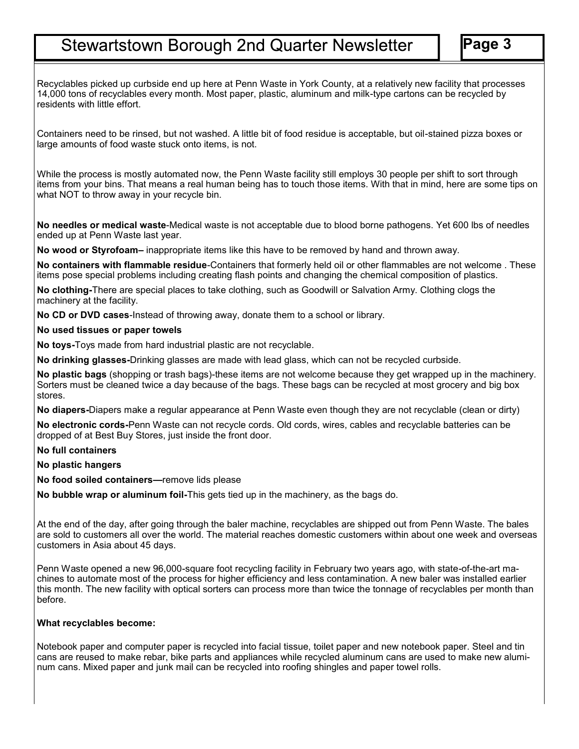## **Stewartstown Borough 2nd Quarter Newsletter**

Recyclables picked up curbside end up here at Penn Waste in York County, at a relatively new facility that processes 14,000 tons of recyclables every month. Most paper, plastic, aluminum and milk-type cartons can be recycled by residents with little effort.

Containers need to be rinsed, but not washed. A little bit of food residue is acceptable, but oil-stained pizza boxes or large amounts of food waste stuck onto items, is not.

While the process is mostly automated now, the Penn Waste facility still employs 30 people per shift to sort through items from your bins. That means a real human being has to touch those items. With that in mind, here are some tips on what NOT to throw away in your recycle bin.

**No needles or medical waste**-Medical waste is not acceptable due to blood borne pathogens. Yet 600 lbs of needles ended up at Penn Waste last year.

**No wood or Styrofoam–** inappropriate items like this have to be removed by hand and thrown away.

**No containers with flammable residue**-Containers that formerly held oil or other flammables are not welcome . These items pose special problems including creating flash points and changing the chemical composition of plastics.

**No clothing-**There are special places to take clothing, such as Goodwill or Salvation Army. Clothing clogs the machinery at the facility.

**No CD or DVD cases**-Instead of throwing away, donate them to a school or library.

**No used tissues or paper towels**

**No toys-**Toys made from hard industrial plastic are not recyclable.

**No drinking glasses-**Drinking glasses are made with lead glass, which can not be recycled curbside.

**No plastic bags** (shopping or trash bags)-these items are not welcome because they get wrapped up in the machinery. Sorters must be cleaned twice a day because of the bags. These bags can be recycled at most grocery and big box stores.

**No diapers-**Diapers make a regular appearance at Penn Waste even though they are not recyclable (clean or dirty)

**No electronic cords-**Penn Waste can not recycle cords. Old cords, wires, cables and recyclable batteries can be dropped of at Best Buy Stores, just inside the front door.

**No full containers**

**No plastic hangers**

**No food soiled containers—**remove lids please

**No bubble wrap or aluminum foil-**This gets tied up in the machinery, as the bags do.

At the end of the day, after going through the baler machine, recyclables are shipped out from Penn Waste. The bales are sold to customers all over the world. The material reaches domestic customers within about one week and overseas customers in Asia about 45 days.

Penn Waste opened a new 96,000-square foot recycling facility in February two years ago, with state-of-the-art machines to automate most of the process for higher efficiency and less contamination. A new baler was installed earlier this month. The new facility with optical sorters can process more than twice the tonnage of recyclables per month than before.

### **What recyclables become:**

Notebook paper and computer paper is recycled into facial tissue, toilet paper and new notebook paper. Steel and tin cans are reused to make rebar, bike parts and appliances while recycled aluminum cans are used to make new aluminum cans. Mixed paper and junk mail can be recycled into roofing shingles and paper towel rolls.